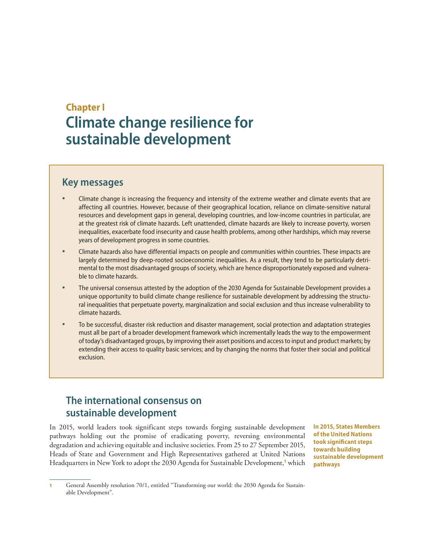# **Chapter I Climate change resilience for sustainable development**

# **Key messages**

- Climate change is increasing the frequency and intensity of the extreme weather and climate events that are affecting all countries. However, because of their geographical location, reliance on climate-sensitive natural resources and development gaps in general, developing countries, and low-income countries in particular, are at the greatest risk of climate hazards. Left unattended, climate hazards are likely to increase poverty, worsen inequalities, exacerbate food insecurity and cause health problems, among other hardships, which may reverse years of development progress in some countries.
- Climate hazards also have differential impacts on people and communities within countries. These impacts are largely determined by deep-rooted socioeconomic inequalities. As a result, they tend to be particularly detrimental to the most disadvantaged groups of society, which are hence disproportionately exposed and vulnerable to climate hazards.
- The universal consensus attested by the adoption of the 2030 Agenda for Sustainable Development provides a unique opportunity to build climate change resilience for sustainable development by addressing the structural inequalities that perpetuate poverty, marginalization and social exclusion and thus increase vulnerability to climate hazards.
- To be successful, disaster risk reduction and disaster management, social protection and adaptation strategies must all be part of a broader development framework which incrementally leads the way to the empowerment of today's disadvantaged groups, by improving their asset positions and access to input and product markets; by extending their access to quality basic services; and by changing the norms that foster their social and political exclusion.

# **The international consensus on sustainable development**

In 2015, world leaders took significant steps towards forging sustainable development pathways holding out the promise of eradicating poverty, reversing environmental degradation and achieving equitable and inclusive societies. From 25 to 27 September 2015, Heads of State and Government and High Representatives gathered at United Nations Headquarters in New York to adopt the 2030 Agenda for Sustainable Development,**<sup>1</sup>** which

**In 2015, States Members of the United Nations took significant steps towards building sustainable development pathways**

General Assembly resolution 70/1, entitled "Transforming our world: the 2030 Agenda for Sustainable Development".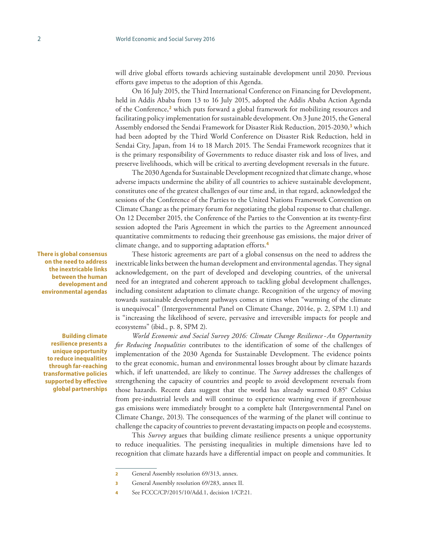will drive global efforts towards achieving sustainable development until 2030. Previous efforts gave impetus to the adoption of this Agenda.

On 16 July 2015, the Third International Conference on Financing for Development, held in Addis Ababa from 13 to 16 July 2015, adopted the Addis Ababa Action Agenda of the Conference,**<sup>2</sup>** which puts forward a global framework for mobilizing resources and facilitating policy implementation for sustainable development. On 3 June 2015, the General Assembly endorsed the Sendai Framework for Disaster Risk Reduction, 2015-2030,**<sup>3</sup>** which had been adopted by the Third World Conference on Disaster Risk Reduction, held in Sendai City, Japan, from 14 to 18 March 2015. The Sendai Framework recognizes that it is the primary responsibility of Governments to reduce disaster risk and loss of lives, and preserve livelihoods, which will be critical to averting development reversals in the future.

The 2030 Agenda for Sustainable Development recognized that climate change, whose adverse impacts undermine the ability of all countries to achieve sustainable development, constitutes one of the greatest challenges of our time and, in that regard, acknowledged the sessions of the Conference of the Parties to the United Nations Framework Convention on Climate Change as the primary forum for negotiating the global response to that challenge. On 12 December 2015, the Conference of the Parties to the Convention at its twenty-first session adopted the Paris Agreement in which the parties to the Agreement announced quantitative commitments to reducing their greenhouse gas emissions, the major driver of climate change, and to supporting adaptation efforts.**<sup>4</sup>**

These historic agreements are part of a global consensus on the need to address the inextricable links between the human development and environmental agendas. They signal acknowledgement, on the part of developed and developing countries, of the universal need for an integrated and coherent approach to tackling global development challenges, including consistent adaptation to climate change. Recognition of the urgency of moving towards sustainable development pathways comes at times when "warming of the climate is unequivocal" (Intergovernmental Panel on Climate Change, 2014e, p. 2, SPM 1.1) and is "increasing the likelihood of severe, pervasive and irreversible impacts for people and ecosystems" (ibid., p. 8, SPM 2).

*World Economic and Social Survey 2016: Climate Change Resilience - An Opportunity for Reducing Inequalities* contributes to the identification of some of the challenges of implementation of the 2030 Agenda for Sustainable Development. The evidence points to the great economic, human and environmental losses brought about by climate hazards which, if left unattended, are likely to continue. The *Survey* addresses the challenges of strengthening the capacity of countries and people to avoid development reversals from those hazards. Recent data suggest that the world has already warmed 0.85° Celsius from pre-industrial levels and will continue to experience warming even if greenhouse gas emissions were immediately brought to a complete halt (Intergovernmental Panel on Climate Change, 2013). The consequences of the warming of the planet will continue to challenge the capacity of countries to prevent devastating impacts on people and ecosystems.

This *Survey* argues that building climate resilience presents a unique opportunity to reduce inequalities. The persisting inequalities in multiple dimensions have led to recognition that climate hazards have a differential impact on people and communities. It

**There is global consensus on the need to address the inextricable links between the human development and environmental agendas**

**Building climate resilience presents a unique opportunity to reduce inequalities through far-reaching transformative policies supported by effective global partnerships**

<sup>2</sup> General Assembly resolution 69/313, annex.

<sup>3</sup> General Assembly resolution 69/283, annex II.

<sup>4</sup> See FCCC/CP/2015/10/Add.1, decision 1/CP.21.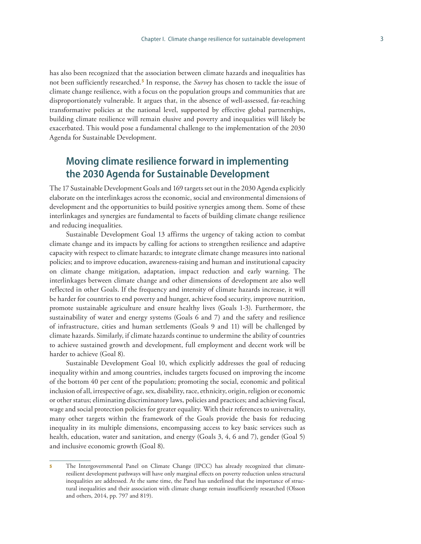has also been recognized that the association between climate hazards and inequalities has not been sufficiently researched.**<sup>5</sup>** In response, the *Survey* has chosen to tackle the issue of climate change resilience, with a focus on the population groups and communities that are disproportionately vulnerable. It argues that, in the absence of well-assessed, far-reaching transformative policies at the national level, supported by effective global partnerships, building climate resilience will remain elusive and poverty and inequalities will likely be exacerbated. This would pose a fundamental challenge to the implementation of the 2030 Agenda for Sustainable Development.

# **Moving climate resilience forward in implementing the 2030 Agenda for Sustainable Development**

The 17 Sustainable Development Goals and 169 targets set out in the 2030 Agenda explicitly elaborate on the interlinkages across the economic, social and environmental dimensions of development and the opportunities to build positive synergies among them. Some of these interlinkages and synergies are fundamental to facets of building climate change resilience and reducing inequalities.

Sustainable Development Goal 13 affirms the urgency of taking action to combat climate change and its impacts by calling for actions to strengthen resilience and adaptive capacity with respect to climate hazards; to integrate climate change measures into national policies; and to improve education, awareness-raising and human and institutional capacity on climate change mitigation, adaptation, impact reduction and early warning. The interlinkages between climate change and other dimensions of development are also well reflected in other Goals. If the frequency and intensity of climate hazards increase, it will be harder for countries to end poverty and hunger, achieve food security, improve nutrition, promote sustainable agriculture and ensure healthy lives (Goals 1-3). Furthermore, the sustainability of water and energy systems (Goals 6 and 7) and the safety and resilience of infrastructure, cities and human settlements (Goals 9 and 11) will be challenged by climate hazards. Similarly, if climate hazards continue to undermine the ability of countries to achieve sustained growth and development, full employment and decent work will be harder to achieve (Goal 8).

Sustainable Development Goal 10, which explicitly addresses the goal of reducing inequality within and among countries, includes targets focused on improving the income of the bottom 40 per cent of the population; promoting the social, economic and political inclusion of all, irrespective of age, sex, disability, race, ethnicity, origin, religion or economic or other status; eliminating discriminatory laws, policies and practices; and achieving fiscal, wage and social protection policies for greater equality. With their references to universality, many other targets within the framework of the Goals provide the basis for reducing inequality in its multiple dimensions, encompassing access to key basic services such as health, education, water and sanitation, and energy (Goals 3, 4, 6 and 7), gender (Goal 5) and inclusive economic growth (Goal 8).

The Intergovernmental Panel on Climate Change (IPCC) has already recognized that climateresilient development pathways will have only marginal effects on poverty reduction unless structural inequalities are addressed. At the same time, the Panel has underlined that the importance of structural inequalities and their association with climate change remain insufficiently researched (Olsson and others, 2014, pp. 797 and 819).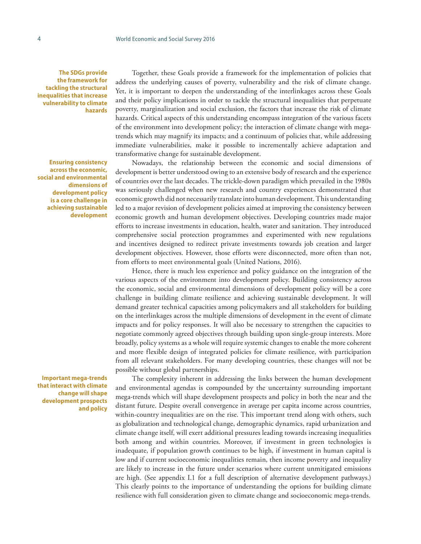**The SDGs provide the framework for tackling the structural inequalities that increase vulnerability to climate hazards**

**Ensuring consistency across the economic, social and environmental dimensions of development policy is a core challenge in achieving sustainable development** 

**Important mega-trends that interact with climate change will shape development prospects and policy**

Together, these Goals provide a framework for the implementation of policies that address the underlying causes of poverty, vulnerability and the risk of climate change. Yet, it is important to deepen the understanding of the interlinkages across these Goals and their policy implications in order to tackle the structural inequalities that perpetuate poverty, marginalization and social exclusion, the factors that increase the risk of climate hazards. Critical aspects of this understanding encompass integration of the various facets of the environment into development policy; the interaction of climate change with megatrends which may magnify its impacts; and a continuum of policies that, while addressing immediate vulnerabilities, make it possible to incrementally achieve adaptation and transformative change for sustainable development.

Nowadays, the relationship between the economic and social dimensions of development is better understood owing to an extensive body of research and the experience of countries over the last decades. The trickle-down paradigm which prevailed in the 1980s was seriously challenged when new research and country experiences demonstrated that economic growth did not necessarily translate into human development. This understanding led to a major revision of development policies aimed at improving the consistency between economic growth and human development objectives. Developing countries made major efforts to increase investments in education, health, water and sanitation. They introduced comprehensive social protection programmes and experimented with new regulations and incentives designed to redirect private investments towards job creation and larger development objectives. However, those efforts were disconnected, more often than not, from efforts to meet environmental goals (United Nations, 2016).

Hence, there is much less experience and policy guidance on the integration of the various aspects of the environment into development policy. Building consistency across the economic, social and environmental dimensions of development policy will be a core challenge in building climate resilience and achieving sustainable development. It will demand greater technical capacities among policymakers and all stakeholders for building on the interlinkages across the multiple dimensions of development in the event of climate impacts and for policy responses. It will also be necessary to strengthen the capacities to negotiate commonly agreed objectives through building upon single-group interests. More broadly, policy systems as a whole will require systemic changes to enable the more coherent and more flexible design of integrated policies for climate resilience, with participation from all relevant stakeholders. For many developing countries, these changes will not be possible without global partnerships.

The complexity inherent in addressing the links between the human development and environmental agendas is compounded by the uncertainty surrounding important mega-trends which will shape development prospects and policy in both the near and the distant future. Despite overall convergence in average per capita income across countries, within-country inequalities are on the rise. This important trend along with others, such as globalization and technological change, demographic dynamics, rapid urbanization and climate change itself, will exert additional pressures leading towards increasing inequalities both among and within countries. Moreover, if investment in green technologies is inadequate, if population growth continues to be high, if investment in human capital is low and if current socioeconomic inequalities remain, then income poverty and inequality are likely to increase in the future under scenarios where current unmitigated emissions are high. (See appendix I.1 for a full description of alternative development pathways.) This clearly points to the importance of understanding the options for building climate resilience with full consideration given to climate change and socioeconomic mega-trends.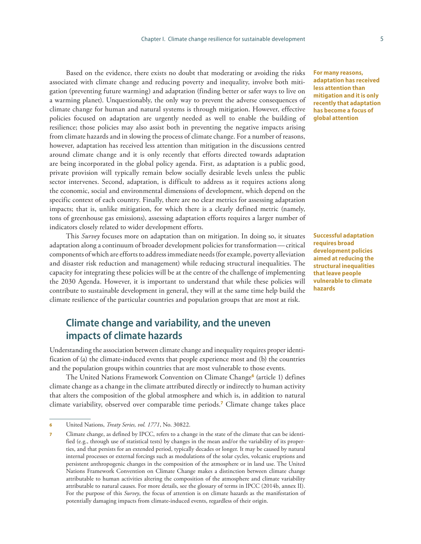Based on the evidence, there exists no doubt that moderating or avoiding the risks associated with climate change and reducing poverty and inequality, involve both mitigation (preventing future warming) and adaptation (finding better or safer ways to live on a warming planet). Unquestionably, the only way to prevent the adverse consequences of climate change for human and natural systems is through mitigation. However, effective policies focused on adaptation are urgently needed as well to enable the building of resilience; those policies may also assist both in preventing the negative impacts arising from climate hazards and in slowing the process of climate change. For a number of reasons, however, adaptation has received less attention than mitigation in the discussions centred around climate change and it is only recently that efforts directed towards adaptation are being incorporated in the global policy agenda. First, as adaptation is a public good, private provision will typically remain below socially desirable levels unless the public sector intervenes. Second, adaptation, is difficult to address as it requires actions along the economic, social and environmental dimensions of development, which depend on the specific context of each country. Finally, there are no clear metrics for assessing adaptation impacts; that is, unlike mitigation, for which there is a clearly defined metric (namely, tons of greenhouse gas emissions), assessing adaptation efforts requires a larger number of indicators closely related to wider development efforts.

This *Survey* focuses more on adaptation than on mitigation. In doing so, it situates adaptation along a continuum of broader development policies for transformation—critical components of which are efforts to address immediate needs (for example, poverty alleviation and disaster risk reduction and management) while reducing structural inequalities. The capacity for integrating these policies will be at the centre of the challenge of implementing the 2030 Agenda. However, it is important to understand that while these policies will contribute to sustainable development in general, they will at the same time help build the climate resilience of the particular countries and population groups that are most at risk.

# **Climate change and variability, and the uneven impacts of climate hazards**

Understanding the association between climate change and inequality requires proper identification of (a) the climate-induced events that people experience most and (b) the countries and the population groups within countries that are most vulnerable to those events.

The United Nations Framework Convention on Climate Change**<sup>6</sup>** (article 1) defines climate change as a change in the climate attributed directly or indirectly to human activity that alters the composition of the global atmosphere and which is, in addition to natural climate variability, observed over comparable time periods.**<sup>7</sup>** Climate change takes place

**For many reasons, adaptation has received less attention than mitigation and it is only recently that adaptation has become a focus of global attention**

**Successful adaptation requires broad development policies aimed at reducing the structural inequalities that leave people vulnerable to climate hazards**

<sup>6</sup> United Nations, *Treaty Series, vol. 1771*, No. 30822.

Climate change, as defined by IPCC, refers to a change in the state of the climate that can be identified (e.g., through use of statistical tests) by changes in the mean and/or the variability of its properties, and that persists for an extended period, typically decades or longer. It may be caused by natural internal processes or external forcings such as modulations of the solar cycles, volcanic eruptions and persistent anthropogenic changes in the composition of the atmosphere or in land use. The United Nations Framework Convention on Climate Change makes a distinction between climate change attributable to human activities altering the composition of the atmosphere and climate variability attributable to natural causes. For more details, see the glossary of terms in IPCC (2014b, annex II). For the purpose of this *Survey*, the focus of attention is on climate hazards as the manifestation of potentially damaging impacts from climate-induced events, regardless of their origin.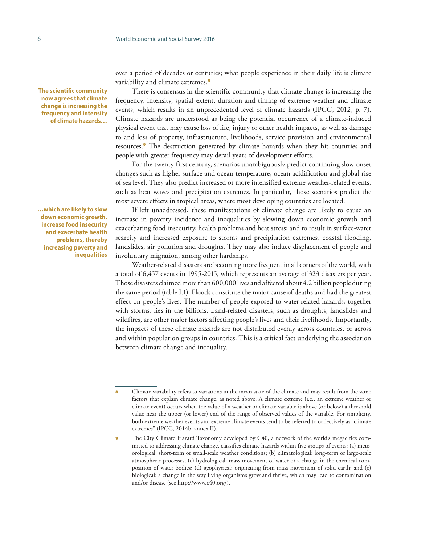**The scientific community now agrees that climate change is increasing the frequency and intensity of climate hazards…**

**…which are likely to slow down economic growth, increase food insecurity and exacerbate health problems, thereby increasing poverty and inequalities** over a period of decades or centuries; what people experience in their daily life is climate variability and climate extremes.**<sup>8</sup>**

There is consensus in the scientific community that climate change is increasing the frequency, intensity, spatial extent, duration and timing of extreme weather and climate events, which results in an unprecedented level of climate hazards (IPCC, 2012, p. 7). Climate hazards are understood as being the potential occurrence of a climate-induced physical event that may cause loss of life, injury or other health impacts, as well as damage to and loss of property, infrastructure, livelihoods, service provision and environmental resources.**<sup>9</sup>** The destruction generated by climate hazards when they hit countries and people with greater frequency may derail years of development efforts.

For the twenty-first century, scenarios unambiguously predict continuing slow-onset changes such as higher surface and ocean temperature, ocean acidification and global rise of sea level. They also predict increased or more intensified extreme weather-related events, such as heat waves and precipitation extremes. In particular, those scenarios predict the most severe effects in tropical areas, where most developing countries are located.

If left unaddressed, these manifestations of climate change are likely to cause an increase in poverty incidence and inequalities by slowing down economic growth and exacerbating food insecurity, health problems and heat stress; and to result in surface-water scarcity and increased exposure to storms and precipitation extremes, coastal flooding, landslides, air pollution and droughts. They may also induce displacement of people and involuntary migration, among other hardships.

Weather-related disasters are becoming more frequent in all corners of the world, with a total of 6,457 events in 1995-2015, which represents an average of 323 disasters per year. Those disasters claimed more than 600,000 lives and affected about 4.2 billion people during the same period (table I.1). Floods constitute the major cause of deaths and had the greatest effect on people's lives. The number of people exposed to water-related hazards, together with storms, lies in the billions. Land-related disasters, such as droughts, landslides and wildfires, are other major factors affecting people's lives and their livelihoods. Importantly, the impacts of these climate hazards are not distributed evenly across countries, or across and within population groups in countries. This is a critical fact underlying the association between climate change and inequality.

Climate variability refers to variations in the mean state of the climate and may result from the same factors that explain climate change, as noted above. A climate extreme (i.e., an extreme weather or climate event) occurs when the value of a weather or climate variable is above (or below) a threshold value near the upper (or lower) end of the range of observed values of the variable. For simplicity, both extreme weather events and extreme climate events tend to be referred to collectively as "climate extremes" (IPCC, 2014b, annex II).

<sup>9</sup> The City Climate Hazard Taxonomy developed by C40, a network of the world's megacities committed to addressing climate change, classifies climate hazards within five groups of events: (a) meteorological: short-term or small-scale weather conditions; (b) climatological: long-term or large-scale atmospheric processes; (c) hydrological: mass movement of water or a change in the chemical composition of water bodies; (d) geophysical: originating from mass movement of solid earth; and (e) biological: a change in the way living organisms grow and thrive, which may lead to contamination and/or disease (see [http://www.c40.org/\)](http://www.c40.org/).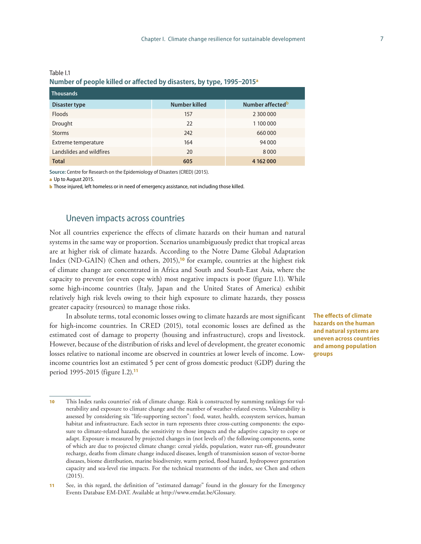|                          | .             |                              |  |  |  |  |
|--------------------------|---------------|------------------------------|--|--|--|--|
| <b>Thousands</b>         |               |                              |  |  |  |  |
| Disaster type            | Number killed | Number affected <sup>b</sup> |  |  |  |  |
| <b>Floods</b>            | 157           | 2 300 000                    |  |  |  |  |
| Drought                  | 22            | 1 100 000                    |  |  |  |  |
| <b>Storms</b>            | 242           | 660000                       |  |  |  |  |
| Extreme temperature      | 164           | 94 000                       |  |  |  |  |
| Landslides and wildfires | 20            | 8000                         |  |  |  |  |
| <b>Total</b>             | 605           | 4 162 000                    |  |  |  |  |

#### Table I.1 **Number of people killed or affected by disasters, by type, 1995–2015<sup>a</sup>**

**Source:** Centre for Research on the Epidemiology of Disasters (CRED) (2015).

a Up to August 2015.

**b** Those injured, left homeless or in need of emergency assistance, not including those killed.

#### Uneven impacts across countries

Not all countries experience the effects of climate hazards on their human and natural systems in the same way or proportion. Scenarios unambiguously predict that tropical areas are at higher risk of climate hazards. According to the Notre Dame Global Adaptation Index (ND-GAIN) (Chen and others, 2015),**<sup>10</sup>** for example, countries at the highest risk of climate change are concentrated in Africa and South and South-East Asia, where the capacity to prevent (or even cope with) most negative impacts is poor (figure I.1). While some high-income countries (Italy, Japan and the United States of America) exhibit relatively high risk levels owing to their high exposure to climate hazards, they possess greater capacity (resources) to manage those risks.

In absolute terms, total economic losses owing to climate hazards are most significant for high-income countries. In CRED (2015), total economic losses are defined as the estimated cost of damage to property (housing and infrastructure), crops and livestock. However, because of the distribution of risks and level of development, the greater economic losses relative to national income are observed in countries at lower levels of income. Lowincome countries lost an estimated 5 per cent of gross domestic product (GDP) during the period 1995-2015 (figure I.2).**<sup>11</sup>**

**The effects of climate hazards on the human and natural systems are uneven across countries and among population groups**

<sup>10</sup> This Index ranks countries' risk of climate change. Risk is constructed by summing rankings for vulnerability and exposure to climate change and the number of weather-related events. Vulnerability is assessed by considering six "life-supporting sectors": food, water, health, ecosystem services, human habitat and infrastructure. Each sector in turn represents three cross-cutting components: the exposure to climate-related hazards, the sensitivity to those impacts and the adaptive capacity to cope or adapt. Exposure is measured by projected changes in (not levels of) the following components, some of which are due to projected climate change: cereal yields, population, water run-off, groundwater recharge, deaths from climate change induced diseases, length of transmission season of vector-borne diseases, biome distribution, marine biodiversity, warm period, flood hazard, hydropower generation capacity and sea-level rise impacts. For the technical treatments of the index, see Chen and others (2015).

<sup>11</sup> See, in this regard, the definition of "estimated damage" found in the glossary for the Emergency Events Database EM-DAT. Available at [http://www.emdat.be/Glossary.](http://www.emdat.be/Glossary)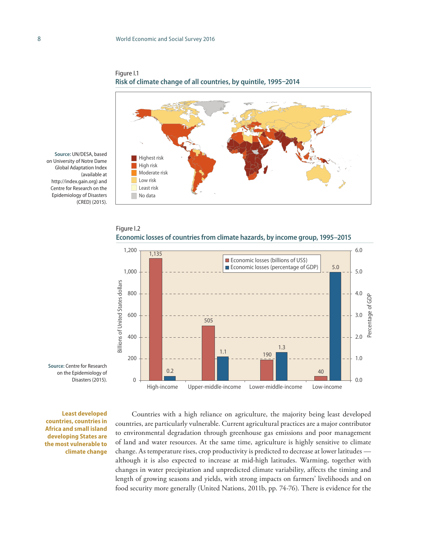

Figure I.1 **Risk of climate change of all countries, by quintile, 1995–2014**

**Source:** UN/DESA, based on University of Notre Dame Global Adaptation Index (available at http://index.gain.org) and Centre for Research on the Epidemiology of Disasters (CRED) (2015).





**Source:** Centre for Research on the Epidemiology of Disasters (2015).

**Least developed countries, countries in Africa and small island developing States are the most vulnerable to climate change**

Countries with a high reliance on agriculture, the majority being least developed countries, are particularly vulnerable. Current agricultural practices are a major contributor to environmental degradation through greenhouse gas emissions and poor management of land and water resources. At the same time, agriculture is highly sensitive to climate change. As temperature rises, crop productivity is predicted to decrease at lower latitudes although it is also expected to increase at mid-high latitudes. Warming, together with changes in water precipitation and unpredicted climate variability, affects the timing and length of growing seasons and yields, with strong impacts on farmers' livelihoods and on food security more generally (United Nations, 2011b, pp. 74-76). There is evidence for the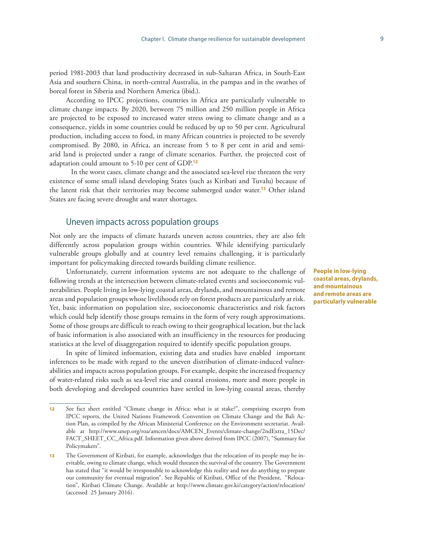period 1981-2003 that land productivity decreased in sub-Saharan Africa, in South-East Asia and southern China, in north-central Australia, in the pampas and in the swathes of boreal forest in Siberia and Northern America (ibid.).

According to IPCC projections, countries in Africa are particularly vulnerable to climate change impacts. By 2020, between 75 million and 250 million people in Africa are projected to be exposed to increased water stress owing to climate change and as a consequence, yields in some countries could be reduced by up to 50 per cent. Agricultural production, including access to food, in many African countries is projected to be severely compromised. By 2080, in Africa, an increase from 5 to 8 per cent in arid and semiarid land is projected under a range of climate scenarios. Further, the projected cost of adaptation could amount to 5-10 per cent of GDP.**<sup>12</sup>**

 In the worst cases, climate change and the associated sea-level rise threaten the very existence of some small island developing States (such as Kiribati and Tuvalu) because of the latent risk that their territories may become submerged under water.**<sup>13</sup>** Other island States are facing severe drought and water shortages.

#### Uneven impacts across population groups

Not only are the impacts of climate hazards uneven across countries, they are also felt differently across population groups within countries. While identifying particularly vulnerable groups globally and at country level remains challenging, it is particularly important for policymaking directed towards building climate resilience.

Unfortunately, current information systems are not adequate to the challenge of following trends at the intersection between climate-related events and socioeconomic vulnerabilities. People living in low-lying coastal areas, drylands, and mountainous and remote areas and population groups whose livelihoods rely on forest products are particularly at risk. Yet, basic information on population size, socioeconomic characteristics and risk factors which could help identify those groups remains in the form of very rough approximations. Some of those groups are difficult to reach owing to their geographical location, but the lack of basic information is also associated with an insufficiency in the resources for producing statistics at the level of disaggregation required to identify specific population groups.

In spite of limited information, existing data and studies have enabled important inferences to be made with regard to the uneven distribution of climate-induced vulnerabilities and impacts across population groups. For example, despite the increased frequency of water-related risks such as sea-level rise and coastal erosions, more and more people in both developing and developed countries have settled in low-lying coastal areas, thereby

**People in low-lying coastal areas, drylands, and mountainous and remote areas are particularly vulnerable**

<sup>12</sup> See fact sheet entitled "Climate change in Africa: what is at stake?", comprising excerpts from IPCC reports, the United Nations Framework Convention on Climate Change and the Bali Action Plan, as compiled by the African Ministerial Conference on the Environment secretariat. Available at [http://www.unep.org/roa/amcen/docs/AMCEN\\_Events/climate-change/2ndExtra\\_15Dec/](http://www.unep.org/roa/amcen/docs/AMCEN_Events/climate-change/2ndExtra_15Dec/FACT_SHEET_CC_Africa.pdf) [FACT\\_SHEET\\_CC\\_Africa.pdf.](http://www.unep.org/roa/amcen/docs/AMCEN_Events/climate-change/2ndExtra_15Dec/FACT_SHEET_CC_Africa.pdf) Information given above derived from IPCC (2007), "Summary for Policymakers".

<sup>13</sup> The Government of Kiribati, for example, acknowledges that the relocation of its people may be inevitable, owing to climate change, which would threaten the survival of the country. The Government has stated that "it would be irresponsible to acknowledge this reality and not do anything to prepare our community for eventual migration". See Republic of Kiribati, Office of the President, "Relocation", Kiribati Climate Change. Available at <http://www.climate.gov.ki/category/action/relocation/> (accessed 25 January 2016).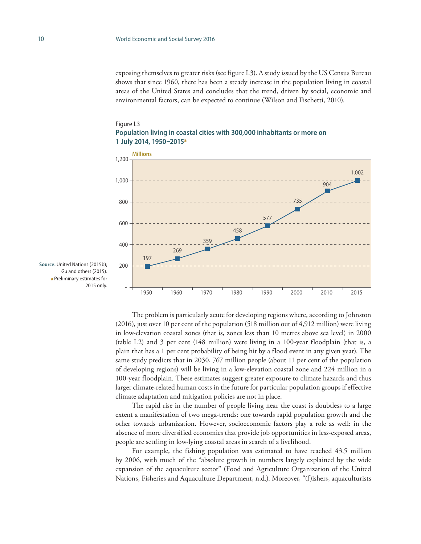exposing themselves to greater risks (see figure I.3). A study issued by the US Census Bureau shows that since 1960, there has been a steady increase in the population living in coastal areas of the United States and concludes that the trend, driven by social, economic and environmental factors, can be expected to continue (Wilson and Fischetti, 2010).

#### Figure I.3 **Population living in coastal cities with 300,000 inhabitants or more on 1 July 2014, 1950–2015<sup>a</sup>**



**Source:** United Nations (2015b); Gu and others (2015). a Preliminary estimates for

The problem is particularly acute for developing regions where, according to Johnston (2016), just over 10 per cent of the population (518 million out of 4,912 million) were living in low-elevation coastal zones (that is, zones less than 10 metres above sea level) in 2000 (table I.2) and 3 per cent (148 million) were living in a 100-year floodplain (that is, a plain that has a 1 per cent probability of being hit by a flood event in any given year). The same study predicts that in 2030, 767 million people (about 11 per cent of the population of developing regions) will be living in a low-elevation coastal zone and 224 million in a 100-year floodplain. These estimates suggest greater exposure to climate hazards and thus larger climate-related human costs in the future for particular population groups if effective climate adaptation and mitigation policies are not in place.

The rapid rise in the number of people living near the coast is doubtless to a large extent a manifestation of two mega-trends: one towards rapid population growth and the other towards urbanization. However, socioeconomic factors play a role as well: in the absence of more diversified economies that provide job opportunities in less-exposed areas, people are settling in low-lying coastal areas in search of a livelihood.

For example, the fishing population was estimated to have reached 43.5 million by 2006, with much of the "absolute growth in numbers largely explained by the wide expansion of the aquaculture sector" (Food and Agriculture Organization of the United Nations, Fisheries and Aquaculture Department, n.d.). Moreover, "(f)ishers, aquaculturists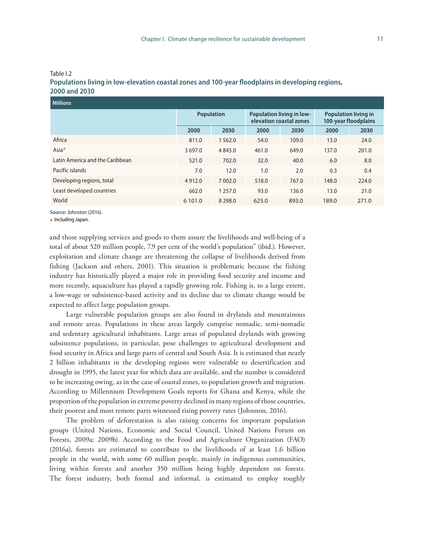| ۰, | ۰, |
|----|----|
|    |    |
|    |    |

| <b>Millions</b>                 |                   |            |                                                             |       |                                                     |       |  |
|---------------------------------|-------------------|------------|-------------------------------------------------------------|-------|-----------------------------------------------------|-------|--|
|                                 | <b>Population</b> |            | <b>Population living in low-</b><br>elevation coastal zones |       | <b>Population living in</b><br>100-year floodplains |       |  |
|                                 | 2000              | 2030       | 2000                                                        | 2030  | 2000                                                | 2030  |  |
| Africa                          | 811.0             | 1 5 6 2 .0 | 54.0                                                        | 109.0 | 13.0                                                | 24.0  |  |
| Asia <sup>a</sup>               | 3 697.0           | 4 8 4 5 .0 | 461.0                                                       | 649.0 | 137.0                                               | 201.0 |  |
| Latin America and the Caribbean | 521.0             | 702.0      | 32.0                                                        | 40.0  | 6.0                                                 | 8.0   |  |
| Pacific islands                 | 7.0               | 12.0       | 1.0                                                         | 2.0   | 0.3                                                 | 0.4   |  |
| Developing regions, total       | 4912.0            | 7 002.0    | 518.0                                                       | 767.0 | 148.0                                               | 224.0 |  |
| Least developed countries       | 662.0             | 1 2 5 7 .0 | 93.0                                                        | 136.0 | 13.0                                                | 21.0  |  |
| World                           | 6 101.0           | 8 2 9 8 .0 | 625.0                                                       | 893.0 | 189.0                                               | 271.0 |  |

#### Table I.2 **Populations living in low-elevation coastal zones and 100-year floodplains in developing regions, 2000 and 2030**

**Source:** Johnston (2016).

a Including Japan.

and those supplying services and goods to them assure the livelihoods and well-being of a total of about 520 million people, 7.9 per cent of the world's population" (ibid.). However, exploitation and climate change are threatening the collapse of livelihoods derived from fishing (Jackson and others, 2001). This situation is problematic because the fishing industry has historically played a major role in providing food security and income and more recently, aquaculture has played a rapidly growing role. Fishing is, to a large extent, a low-wage or subsistence-based activity and its decline due to climate change would be expected to affect large population groups.

Large vulnerable population groups are also found in drylands and mountainous and remote areas. Populations in these areas largely comprise nomadic, semi-nomadic and sedentary agricultural inhabitants. Large areas of populated drylands with growing subsistence populations, in particular, pose challenges to agricultural development and food security in Africa and large parts of central and South Asia. It is estimated that nearly 2 billion inhabitants in the developing regions were vulnerable to desertification and drought in 1995, the latest year for which data are available, and the number is considered to be increasing owing, as in the case of coastal zones, to population growth and migration. According to Millennium Development Goals reports for Ghana and Kenya, while the proportion of the population in extreme poverty declined in many regions of those countries, their poorest and most remote parts witnessed rising poverty rates (Johnston, 2016).

The problem of deforestation is also raising concerns for important population groups (United Nations, Economic and Social Council, United Nations Forum on Forests, 2009a; 2009b). According to the Food and Agriculture Organization (FAO) (2016a), forests are estimated to contribute to the livelihoods of at least 1.6 billion people in the world, with some 60 million people, mainly in indigenous communities, living within forests and another 350 million being highly dependent on forests. The forest industry, both formal and informal, is estimated to employ roughly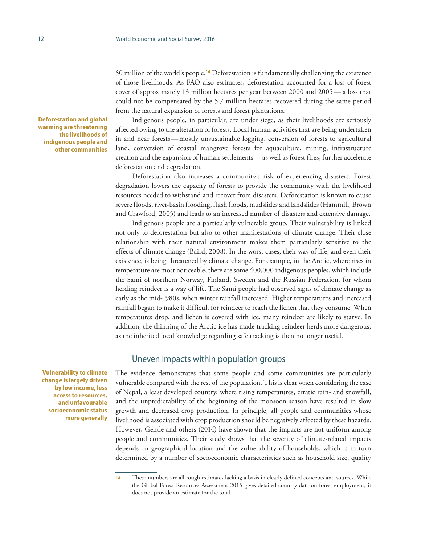50 million of the world's people.**<sup>14</sup>** Deforestation is fundamentally challenging the existence of those livelihoods. As FAO also estimates, deforestation accounted for a loss of forest cover of approximately 13 million hectares per year between 2000 and 2005— a loss that could not be compensated by the 5.7 million hectares recovered during the same period from the natural expansion of forests and forest plantations.

Indigenous people, in particular, are under siege, as their livelihoods are seriously affected owing to the alteration of forests. Local human activities that are being undertaken in and near forests—mostly unsustainable logging, conversion of forests to agricultural land, conversion of coastal mangrove forests for aquaculture, mining, infrastructure creation and the expansion of human settlements—as well as forest fires, further accelerate deforestation and degradation.

Deforestation also increases a community's risk of experiencing disasters. Forest degradation lowers the capacity of forests to provide the community with the livelihood resources needed to withstand and recover from disasters. Deforestation is known to cause severe floods, river-basin flooding, flash floods, mudslides and landslides (Hammill, Brown and Crawford, 2005) and leads to an increased number of disasters and extensive damage.

Indigenous people are a particularly vulnerable group. Their vulnerability is linked not only to deforestation but also to other manifestations of climate change. Their close relationship with their natural environment makes them particularly sensitive to the effects of climate change (Baird, 2008). In the worst cases, their way of life, and even their existence, is being threatened by climate change. For example, in the Arctic, where rises in temperature are most noticeable, there are some 400,000 indigenous peoples, which include the Sami of northern Norway, Finland, Sweden and the Russian Federation, for whom herding reindeer is a way of life. The Sami people had observed signs of climate change as early as the mid-1980s, when winter rainfall increased. Higher temperatures and increased rainfall began to make it difficult for reindeer to reach the lichen that they consume. When temperatures drop, and lichen is covered with ice, many reindeer are likely to starve. In addition, the thinning of the Arctic ice has made tracking reindeer herds more dangerous, as the inherited local knowledge regarding safe tracking is then no longer useful.

#### Uneven impacts within population groups

The evidence demonstrates that some people and some communities are particularly vulnerable compared with the rest of the population. This is clear when considering the case of Nepal, a least developed country, where rising temperatures, erratic rain- and snowfall, and the unpredictability of the beginning of the monsoon season have resulted in slow growth and decreased crop production. In principle, all people and communities whose livelihood is associated with crop production should be negatively affected by these hazards. However, Gentle and others (2014) have shown that the impacts are not uniform among people and communities. Their study shows that the severity of climate-related impacts depends on geographical location and the vulnerability of households, which is in turn determined by a number of socioeconomic characteristics such as household size, quality

**Deforestation and global warming are threatening the livelihoods of indigenous people and other communities**

**Vulnerability to climate change is largely driven by low income, less access to resources, and unfavourable socioeconomic status more generally**

<sup>14</sup> These numbers are all rough estimates lacking a basis in clearly defined concepts and sources. While the Global Forest Resources Assessment 2015 gives detailed country data on forest employment, it does not provide an estimate for the total.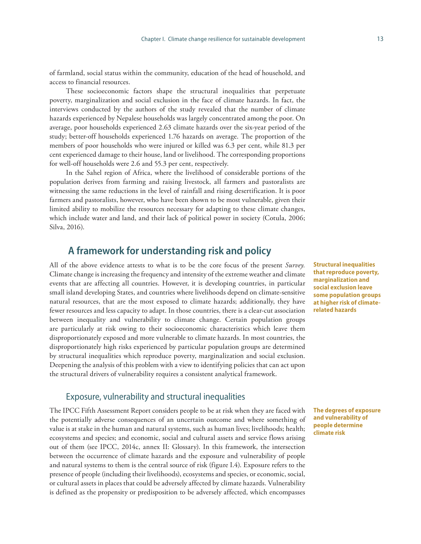of farmland, social status within the community, education of the head of household, and access to financial resources.

These socioeconomic factors shape the structural inequalities that perpetuate poverty, marginalization and social exclusion in the face of climate hazards. In fact, the interviews conducted by the authors of the study revealed that the number of climate hazards experienced by Nepalese households was largely concentrated among the poor. On average, poor households experienced 2.63 climate hazards over the six-year period of the study; better-off households experienced 1.76 hazards on average. The proportion of the members of poor households who were injured or killed was 6.3 per cent, while 81.3 per cent experienced damage to their house, land or livelihood. The corresponding proportions for well-off households were 2.6 and 55.3 per cent, respectively.

In the Sahel region of Africa, where the livelihood of considerable portions of the population derives from farming and raising livestock, all farmers and pastoralists are witnessing the same reductions in the level of rainfall and rising desertification. It is poor farmers and pastoralists, however, who have been shown to be most vulnerable, given their limited ability to mobilize the resources necessary for adapting to these climate changes, which include water and land, and their lack of political power in society (Cotula, 2006; Silva, 2016).

### **A framework for understanding risk and policy**

All of the above evidence attests to what is to be the core focus of the present *Survey.*  Climate change is increasing the frequency and intensity of the extreme weather and climate events that are affecting all countries. However, it is developing countries, in particular small island developing States, and countries where livelihoods depend on climate-sensitive natural resources, that are the most exposed to climate hazards; additionally, they have fewer resources and less capacity to adapt. In those countries, there is a clear-cut association between inequality and vulnerability to climate change. Certain population groups are particularly at risk owing to their socioeconomic characteristics which leave them disproportionately exposed and more vulnerable to climate hazards. In most countries, the disproportionately high risks experienced by particular population groups are determined by structural inequalities which reproduce poverty, marginalization and social exclusion. Deepening the analysis of this problem with a view to identifying policies that can act upon the structural drivers of vulnerability requires a consistent analytical framework.

### Exposure, vulnerability and structural inequalities

The IPCC Fifth Assessment Report considers people to be at risk when they are faced with the potentially adverse consequences of an uncertain outcome and where something of value is at stake in the human and natural systems, such as human lives; livelihoods; health; ecosystems and species; and economic, social and cultural assets and service flows arising out of them (see IPCC, 2014c, annex II: Glossary). In this framework, the intersection between the occurrence of climate hazards and the exposure and vulnerability of people and natural systems to them is the central source of risk (figure I.4). Exposure refers to the presence of people (including their livelihoods), ecosystems and species, or economic, social, or cultural assets in places that could be adversely affected by climate hazards. Vulnerability is defined as the propensity or predisposition to be adversely affected, which encompasses

**Structural inequalities that reproduce poverty, marginalization and social exclusion leave some population groups at higher risk of climaterelated hazards** 

**The degrees of exposure and vulnerability of people determine climate risk**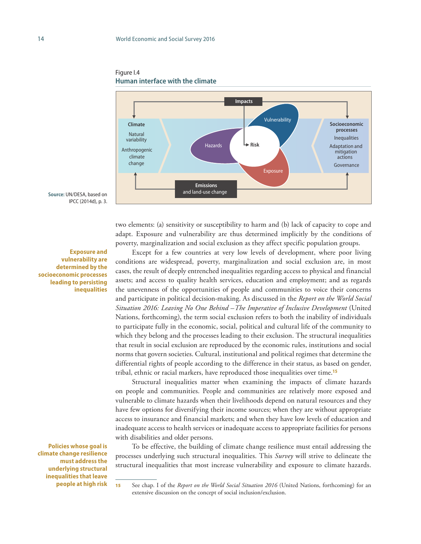

Figure I.4 **Human interface with the climate**

**Source:** UN/DESA, based on IPCC (2014d), p. 3.

**Exposure and vulnerability are determined by the socioeconomic processes leading to persisting inequalities**

**Policies whose goal is climate change resilience must address the underlying structural inequalities that leave people at high risk**

two elements: (a) sensitivity or susceptibility to harm and (b) lack of capacity to cope and adapt. Exposure and vulnerability are thus determined implicitly by the conditions of poverty, marginalization and social exclusion as they affect specific population groups.

Except for a few countries at very low levels of development, where poor living conditions are widespread, poverty, marginalization and social exclusion are, in most cases, the result of deeply entrenched inequalities regarding access to physical and financial assets; and access to quality health services, education and employment; and as regards the unevenness of the opportunities of people and communities to voice their concerns and participate in political decision-making. As discussed in the *Report on the World Social Situation 2016: Leaving No One Behind –The Imperative of Inclusive Development* (United Nations, forthcoming), the term social exclusion refers to both the inability of individuals to participate fully in the economic, social, political and cultural life of the community to which they belong and the processes leading to their exclusion. The structural inequalities that result in social exclusion are reproduced by the economic rules, institutions and social norms that govern societies. Cultural, institutional and political regimes that determine the differential rights of people according to the difference in their status, as based on gender, tribal, ethnic or racial markers, have reproduced those inequalities over time.**<sup>15</sup>**

Structural inequalities matter when examining the impacts of climate hazards on people and communities. People and communities are relatively more exposed and vulnerable to climate hazards when their livelihoods depend on natural resources and they have few options for diversifying their income sources; when they are without appropriate access to insurance and financial markets; and when they have low levels of education and inadequate access to health services or inadequate access to appropriate facilities for persons with disabilities and older persons.

To be effective, the building of climate change resilience must entail addressing the processes underlying such structural inequalities. This *Survey* will strive to delineate the structural inequalities that most increase vulnerability and exposure to climate hazards.

<sup>15</sup> See chap. I of the *Report on the World Social Situation 2016* (United Nations, forthcoming) for an extensive discussion on the concept of social inclusion/exclusion.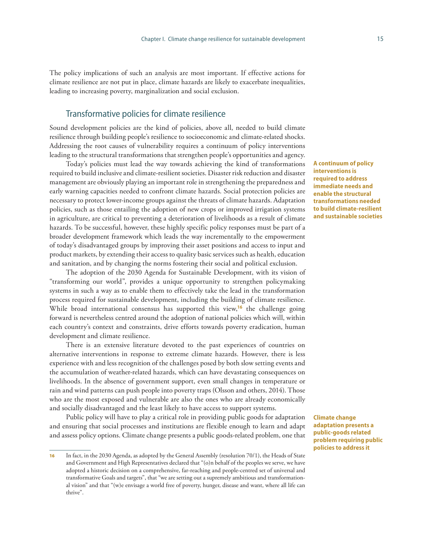The policy implications of such an analysis are most important. If effective actions for climate resilience are not put in place, climate hazards are likely to exacerbate inequalities, leading to increasing poverty, marginalization and social exclusion.

### Transformative policies for climate resilience

Sound development policies are the kind of policies, above all, needed to build climate resilience through building people's resilience to socioeconomic and climate-related shocks. Addressing the root causes of vulnerability requires a continuum of policy interventions leading to the structural transformations that strengthen people's opportunities and agency.

Today's policies must lead the way towards achieving the kind of transformations required to build inclusive and climate-resilient societies. Disaster risk reduction and disaster management are obviously playing an important role in strengthening the preparedness and early warning capacities needed to confront climate hazards. Social protection policies are necessary to protect lower-income groups against the threats of climate hazards. Adaptation policies, such as those entailing the adoption of new crops or improved irrigation systems in agriculture, are critical to preventing a deterioration of livelihoods as a result of climate hazards. To be successful, however, these highly specific policy responses must be part of a broader development framework which leads the way incrementally to the empowerment of today's disadvantaged groups by improving their asset positions and access to input and product markets, by extending their access to quality basic services such as health, education and sanitation, and by changing the norms fostering their social and political exclusion.

The adoption of the 2030 Agenda for Sustainable Development, with its vision of "transforming our world", provides a unique opportunity to strengthen policymaking systems in such a way as to enable them to effectively take the lead in the transformation process required for sustainable development, including the building of climate resilience. While broad international consensus has supported this view,**<sup>16</sup>** the challenge going forward is nevertheless centred around the adoption of national policies which will, within each country's context and constraints, drive efforts towards poverty eradication, human development and climate resilience.

There is an extensive literature devoted to the past experiences of countries on alternative interventions in response to extreme climate hazards. However, there is less experience with and less recognition of the challenges posed by both slow setting events and the accumulation of weather-related hazards, which can have devastating consequences on livelihoods. In the absence of government support, even small changes in temperature or rain and wind patterns can push people into poverty traps (Olsson and others, 2014). Those who are the most exposed and vulnerable are also the ones who are already economically and socially disadvantaged and the least likely to have access to support systems.

Public policy will have to play a critical role in providing public goods for adaptation and ensuring that social processes and institutions are flexible enough to learn and adapt and assess policy options. Climate change presents a public goods-related problem, one that **A continuum of policy interventions is required to address immediate needs and enable the structural transformations needed to build climate-resilient and sustainable societies**

**Climate change adaptation presents a public-goods related problem requiring public policies to address it**

<sup>16</sup> In fact, in the 2030 Agenda, as adopted by the General Assembly (resolution 70/1), the Heads of State and Government and High Representatives declared that "(o)n behalf of the peoples we serve, we have adopted a historic decision on a comprehensive, far-reaching and people-centred set of universal and transformative Goals and targets", that "we are setting out a supremely ambitious and transformational vision" and that "(w)e envisage a world free of poverty, hunger, disease and want, where all life can thrive".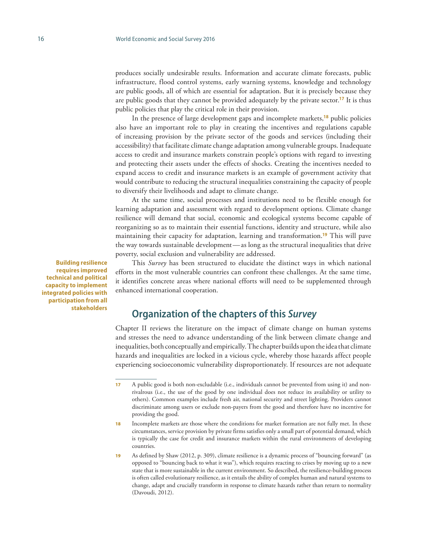produces socially undesirable results. Information and accurate climate forecasts, public infrastructure, flood control systems, early warning systems, knowledge and technology are public goods, all of which are essential for adaptation. But it is precisely because they are public goods that they cannot be provided adequately by the private sector.**<sup>17</sup>** It is thus public policies that play the critical role in their provision.

In the presence of large development gaps and incomplete markets,**<sup>18</sup>** public policies also have an important role to play in creating the incentives and regulations capable of increasing provision by the private sector of the goods and services (including their accessibility) that facilitate climate change adaptation among vulnerable groups. Inadequate access to credit and insurance markets constrain people's options with regard to investing and protecting their assets under the effects of shocks. Creating the incentives needed to expand access to credit and insurance markets is an example of government activity that would contribute to reducing the structural inequalities constraining the capacity of people to diversify their livelihoods and adapt to climate change.

At the same time, social processes and institutions need to be flexible enough for learning adaptation and assessment with regard to development options. Climate change resilience will demand that social, economic and ecological systems become capable of reorganizing so as to maintain their essential functions, identity and structure, while also maintaining their capacity for adaptation, learning and transformation.**<sup>19</sup>** This will pave the way towards sustainable development—as long as the structural inequalities that drive poverty, social exclusion and vulnerability are addressed.

This *Survey* has been structured to elucidate the distinct ways in which national efforts in the most vulnerable countries can confront these challenges. At the same time, it identifies concrete areas where national efforts will need to be supplemented through enhanced international cooperation.

## **Organization of the chapters of this** *Survey*

Chapter II reviews the literature on the impact of climate change on human systems and stresses the need to advance understanding of the link between climate change and inequalities, both conceptually and empirically. The chapter builds upon the idea that climate hazards and inequalities are locked in a vicious cycle, whereby those hazards affect people experiencing socioeconomic vulnerability disproportionately. If resources are not adequate

**Building resilience requires improved technical and political capacity to implement integrated policies with participation from all stakeholders**

<sup>17</sup> A public good is both non-excludable (i.e., individuals cannot be prevented from using it) and nonrivalrous (i.e., the use of the good by one individual does not reduce its availability or utility to others). Common examples include fresh air, national security and street lighting. Providers cannot discriminate among users or exclude non-payers from the good and therefore have no incentive for providing the good.

<sup>18</sup> Incomplete markets are those where the conditions for market formation are not fully met. In these circumstances, service provision by private firms satisfies only a small part of potential demand, which is typically the case for credit and insurance markets within the rural environments of developing countries.

<sup>19</sup> As defined by Shaw (2012, p. 309), climate resilience is a dynamic process of "bouncing forward" (as opposed to "bouncing back to what it was"), which requires reacting to crises by moving up to a new state that is more sustainable in the current environment. So described, the resilience-building process is often called evolutionary resilience, as it entails the ability of complex human and natural systems to change, adapt and crucially transform in response to climate hazards rather than return to normality (Davoudi, 2012).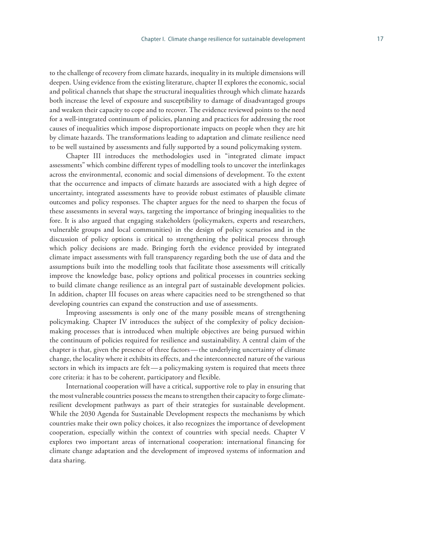to the challenge of recovery from climate hazards, inequality in its multiple dimensions will deepen. Using evidence from the existing literature, chapter II explores the economic, social and political channels that shape the structural inequalities through which climate hazards both increase the level of exposure and susceptibility to damage of disadvantaged groups and weaken their capacity to cope and to recover. The evidence reviewed points to the need for a well-integrated continuum of policies, planning and practices for addressing the root causes of inequalities which impose disproportionate impacts on people when they are hit by climate hazards. The transformations leading to adaptation and climate resilience need to be well sustained by assessments and fully supported by a sound policymaking system.

Chapter III introduces the methodologies used in "integrated climate impact assessments" which combine different types of modelling tools to uncover the interlinkages across the environmental, economic and social dimensions of development. To the extent that the occurrence and impacts of climate hazards are associated with a high degree of uncertainty, integrated assessments have to provide robust estimates of plausible climate outcomes and policy responses. The chapter argues for the need to sharpen the focus of these assessments in several ways, targeting the importance of bringing inequalities to the fore. It is also argued that engaging stakeholders (policymakers, experts and researchers, vulnerable groups and local communities) in the design of policy scenarios and in the discussion of policy options is critical to strengthening the political process through which policy decisions are made. Bringing forth the evidence provided by integrated climate impact assessments with full transparency regarding both the use of data and the assumptions built into the modelling tools that facilitate those assessments will critically improve the knowledge base, policy options and political processes in countries seeking to build climate change resilience as an integral part of sustainable development policies. In addition, chapter III focuses on areas where capacities need to be strengthened so that developing countries can expand the construction and use of assessments.

Improving assessments is only one of the many possible means of strengthening policymaking. Chapter IV introduces the subject of the complexity of policy decisionmaking processes that is introduced when multiple objectives are being pursued within the continuum of policies required for resilience and sustainability. A central claim of the chapter is that, given the presence of three factors—the underlying uncertainty of climate change, the locality where it exhibits its effects, and the interconnected nature of the various sectors in which its impacts are felt—a policymaking system is required that meets three core criteria: it has to be coherent, participatory and flexible.

International cooperation will have a critical, supportive role to play in ensuring that the most vulnerable countries possess the means to strengthen their capacity to forge climateresilient development pathways as part of their strategies for sustainable development. While the 2030 Agenda for Sustainable Development respects the mechanisms by which countries make their own policy choices, it also recognizes the importance of development cooperation, especially within the context of countries with special needs. Chapter V explores two important areas of international cooperation: international financing for climate change adaptation and the development of improved systems of information and data sharing.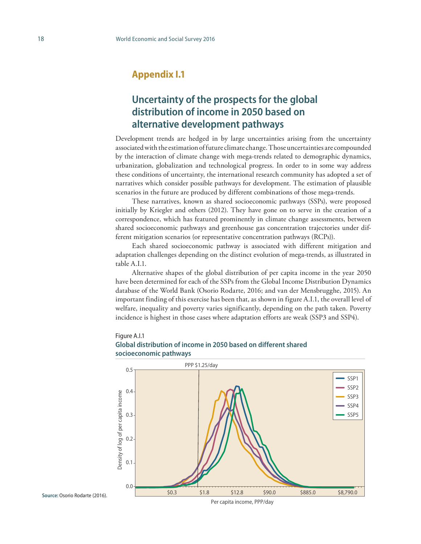## **Appendix I.1**

# **Uncertainty of the prospects for the global distribution of income in 2050 based on alternative development pathways**

Development trends are hedged in by large uncertainties arising from the uncertainty associated with the estimation of future climate change. Those uncertainties are compounded by the interaction of climate change with mega-trends related to demographic dynamics, urbanization, globalization and technological progress. In order to in some way address these conditions of uncertainty, the international research community has adopted a set of narratives which consider possible pathways for development. The estimation of plausible scenarios in the future are produced by different combinations of those mega-trends.

These narratives, known as shared socioeconomic pathways (SSPs), were proposed initially by Kriegler and others (2012). They have gone on to serve in the creation of a correspondence, which has featured prominently in climate change assessments, between shared socioeconomic pathways and greenhouse gas concentration trajectories under different mitigation scenarios (or representative concentration pathways (RCPs)).

Each shared socioeconomic pathway is associated with different mitigation and adaptation challenges depending on the distinct evolution of mega-trends, as illustrated in table A.I.1.

Alternative shapes of the global distribution of per capita income in the year 2050 have been determined for each of the SSPs from the Global Income Distribution Dynamics database of the World Bank (Osorio Rodarte, 2016; and van der Mensbrugghe, 2015). An important finding of this exercise has been that, as shown in figure A.I.1, the overall level of welfare, inequality and poverty varies significantly, depending on the path taken. Poverty incidence is highest in those cases where adaptation efforts are weak (SSP3 and SSP4).

#### Figure A.I.1





**Source:** Osorio Rodarte (2016).

Per capita income, PPP/day